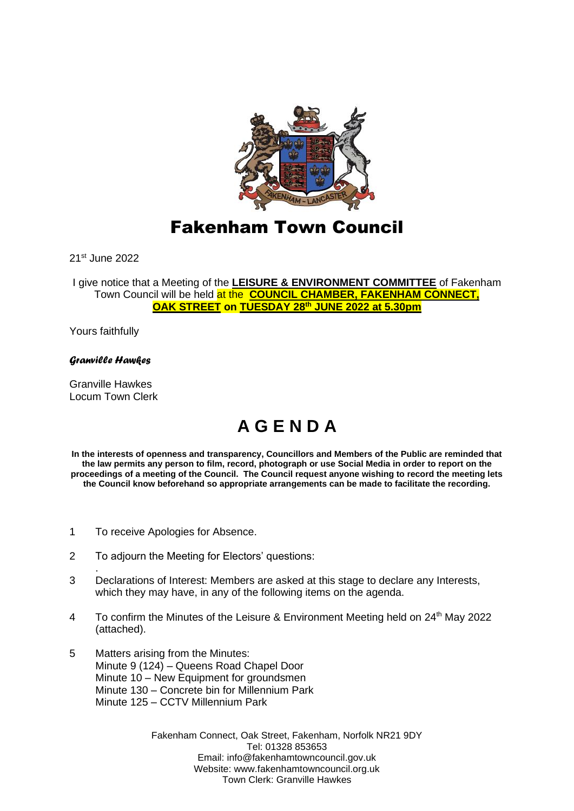

## Fakenham Town Council

21st June 2022

I give notice that a Meeting of the **LEISURE & ENVIRONMENT COMMITTEE** of Fakenham Town Council will be held at the **COUNCIL CHAMBER, FAKENHAM CONNECT, OAK STREET on TUESDAY 28th JUNE 2022 at 5.30pm**

Yours faithfully

## *Granville Hawkes*

Granville Hawkes Locum Town Clerk

.

## **A G E N D A**

**In the interests of openness and transparency, Councillors and Members of the Public are reminded that the law permits any person to film, record, photograph or use Social Media in order to report on the proceedings of a meeting of the Council. The Council request anyone wishing to record the meeting lets the Council know beforehand so appropriate arrangements can be made to facilitate the recording.**

- 1 To receive Apologies for Absence.
- 2 To adjourn the Meeting for Electors' questions:
- 3 Declarations of Interest: Members are asked at this stage to declare any Interests, which they may have, in any of the following items on the agenda.
- 4 To confirm the Minutes of the Leisure & Environment Meeting held on 24th May 2022 (attached).
- 5 Matters arising from the Minutes: Minute 9 (124) – Queens Road Chapel Door Minute 10 – New Equipment for groundsmen Minute 130 – Concrete bin for Millennium Park Minute 125 – CCTV Millennium Park

Fakenham Connect, Oak Street, Fakenham, Norfolk NR21 9DY Tel: 01328 853653 Email: info@fakenhamtowncouncil.gov.uk Website: www.fakenhamtowncouncil.org.uk Town Clerk: Granville Hawkes